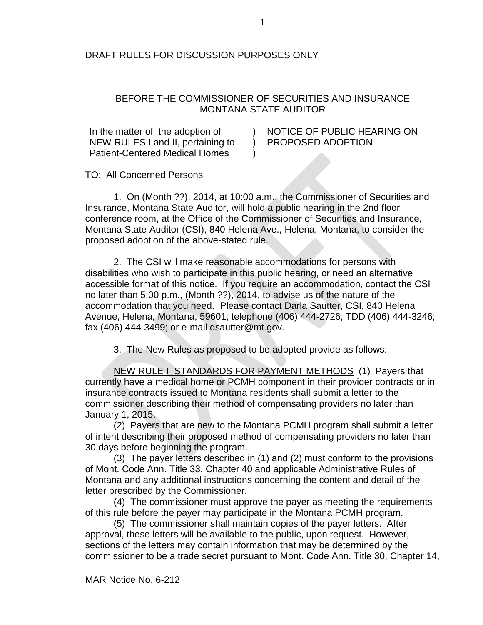## DRAFT RULES FOR DISCUSSION PURPOSES ONLY

## BEFORE THE COMMISSIONER OF SECURITIES AND INSURANCE MONTANA STATE AUDITOR

 $\lambda$ )  $\lambda$ 

In the matter of the adoption of NEW RULES I and II, pertaining to Patient-Centered Medical Homes

NOTICE OF PUBLIC HEARING ON PROPOSED ADOPTION

TO: All Concerned Persons

1. On (Month ??), 2014, at 10:00 a.m., the Commissioner of Securities and Insurance, Montana State Auditor, will hold a public hearing in the 2nd floor conference room, at the Office of the Commissioner of Securities and Insurance, Montana State Auditor (CSI), 840 Helena Ave., Helena, Montana, to consider the proposed adoption of the above-stated rule.

2. The CSI will make reasonable accommodations for persons with disabilities who wish to participate in this public hearing, or need an alternative accessible format of this notice. If you require an accommodation, contact the CSI no later than 5:00 p.m., (Month ??), 2014, to advise us of the nature of the accommodation that you need. Please contact Darla Sautter, CSI, 840 Helena Avenue, Helena, Montana, 59601; telephone (406) 444-2726; TDD (406) 444-3246; fax (406) 444-3499; or e-mail dsautter@mt.gov.

3. The New Rules as proposed to be adopted provide as follows:

NEW RULE I STANDARDS FOR PAYMENT METHODS (1) Payers that currently have a medical home or PCMH component in their provider contracts or in insurance contracts issued to Montana residents shall submit a letter to the commissioner describing their method of compensating providers no later than January 1, 2015.

(2) Payers that are new to the Montana PCMH program shall submit a letter of intent describing their proposed method of compensating providers no later than 30 days before beginning the program.

(3) The payer letters described in (1) and (2) must conform to the provisions of Mont. Code Ann. Title 33, Chapter 40 and applicable Administrative Rules of Montana and any additional instructions concerning the content and detail of the letter prescribed by the Commissioner.

(4) The commissioner must approve the payer as meeting the requirements of this rule before the payer may participate in the Montana PCMH program.

(5) The commissioner shall maintain copies of the payer letters. After approval, these letters will be available to the public, upon request. However, sections of the letters may contain information that may be determined by the commissioner to be a trade secret pursuant to Mont. Code Ann. Title 30, Chapter 14,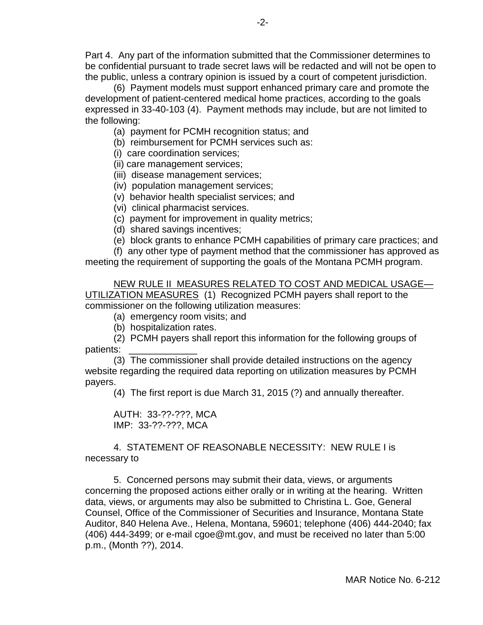Part 4. Any part of the information submitted that the Commissioner determines to be confidential pursuant to trade secret laws will be redacted and will not be open to the public, unless a contrary opinion is issued by a court of competent jurisdiction.

(6) Payment models must support enhanced primary care and promote the development of patient-centered medical home practices, according to the goals expressed in 33-40-103 (4). Payment methods may include, but are not limited to the following:

(a) payment for PCMH recognition status; and

(b) reimbursement for PCMH services such as:

(i) care coordination services;

(ii) care management services;

(iii) disease management services;

(iv) population management services;

(v) behavior health specialist services; and

(vi) clinical pharmacist services.

(c) payment for improvement in quality metrics;

(d) shared savings incentives;

(e) block grants to enhance PCMH capabilities of primary care practices; and

(f) any other type of payment method that the commissioner has approved as meeting the requirement of supporting the goals of the Montana PCMH program.

NEW RULE II MEASURES RELATED TO COST AND MEDICAL USAGE— UTILIZATION MEASURES (1) Recognized PCMH payers shall report to the commissioner on the following utilization measures:

(a) emergency room visits; and

(b) hospitalization rates.

(2) PCMH payers shall report this information for the following groups of patients: \_\_\_\_\_\_\_\_\_\_\_\_\_

(3) The commissioner shall provide detailed instructions on the agency website regarding the required data reporting on utilization measures by PCMH payers.

(4) The first report is due March 31, 2015 (?) and annually thereafter.

AUTH: 33-??-???, MCA IMP: 33-??-???, MCA

4. STATEMENT OF REASONABLE NECESSITY: NEW RULE I is necessary to

5. Concerned persons may submit their data, views, or arguments concerning the proposed actions either orally or in writing at the hearing. Written data, views, or arguments may also be submitted to Christina L. Goe, General Counsel, Office of the Commissioner of Securities and Insurance, Montana State Auditor, 840 Helena Ave., Helena, Montana, 59601; telephone (406) 444-2040; fax (406) 444-3499; or e-mail cgoe@mt.gov, and must be received no later than 5:00 p.m., (Month ??), 2014.